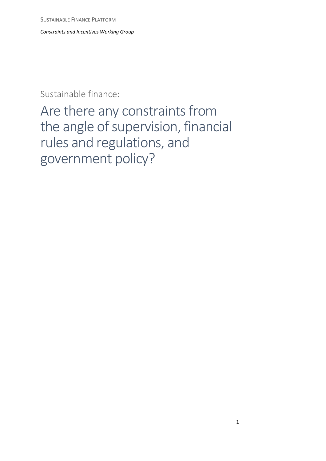Sustainable finance:

Are there any constraints from the angle of supervision, financial rules and regulations, and government policy?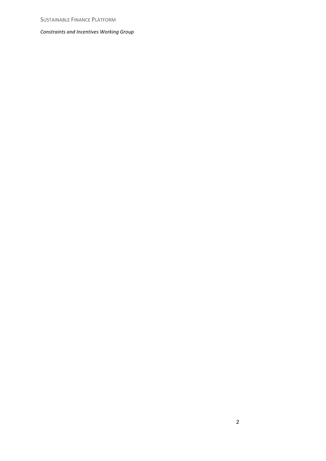*Constraints and Incentives Working Group*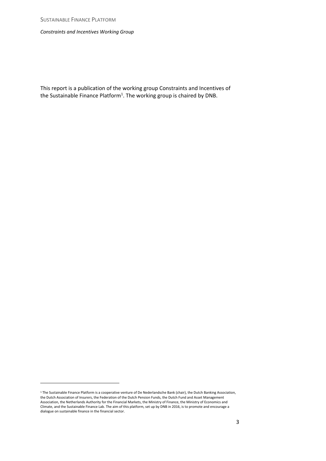This report is a publication of the working group Constraints and Incentives of the Sustainable Finance Platform<sup>1</sup>. The working group is chaired by DNB.

<sup>1</sup> The Sustainable Finance Platform is a cooperative venture of De Nederlandsche Bank (chair), the Dutch Banking Association, the Dutch Association of Insurers, the Federation of the Dutch Pension Funds, the Dutch Fund and Asset Management Association, the Netherlands Authority for the Financial Markets, the Ministry of Finance, the Ministry of Economics and Climate, and the Sustainable Finance Lab. The aim of this platform, set up by DNB in 2016, is to promote and encourage a dialogue on sustainable finance in the financial sector.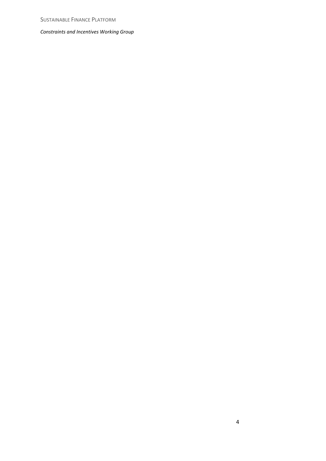*Constraints and Incentives Working Group*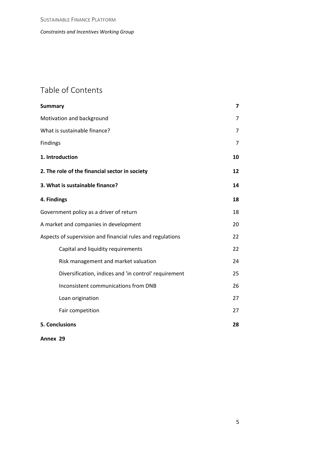# Table of Contents

| <b>Summary</b>                                             | $\overline{\mathbf{z}}$ |
|------------------------------------------------------------|-------------------------|
| Motivation and background                                  | 7                       |
| What is sustainable finance?                               | 7                       |
| Findings                                                   | 7                       |
| 1. Introduction                                            | 10                      |
| 2. The role of the financial sector in society             | 12                      |
| 3. What is sustainable finance?                            | 14                      |
| 4. Findings                                                | 18                      |
| Government policy as a driver of return                    | 18                      |
| A market and companies in development                      | 20                      |
| Aspects of supervision and financial rules and regulations | 22                      |
| Capital and liquidity requirements                         | 22                      |
| Risk management and market valuation                       | 24                      |
| Diversification, indices and 'in control' requirement      | 25                      |
| Inconsistent communications from DNB                       | 26                      |
| Loan origination                                           | 27                      |
| Fair competition                                           | 27                      |
| <b>5. Conclusions</b>                                      | 28                      |

**Annex 29**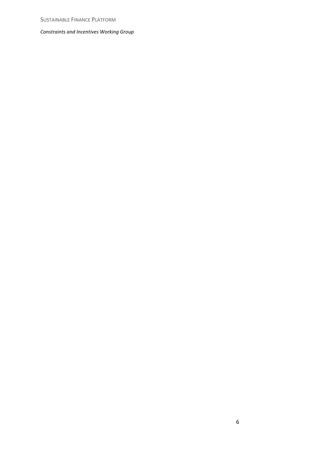*Constraints and Incentives Working Group*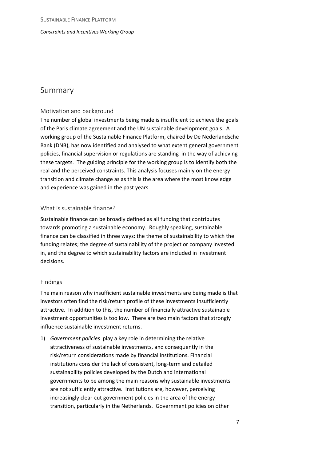# Summary

## Motivation and background

The number of global investments being made is insufficient to achieve the goals of the Paris climate agreement and the UN sustainable development goals. A working group of the Sustainable Finance Platform, chaired by De Nederlandsche Bank (DNB), has now identified and analysed to what extent general government policies, financial supervision or regulations are standing in the way of achieving these targets. The guiding principle for the working group is to identify both the real and the perceived constraints. This analysis focuses mainly on the energy transition and climate change as as this is the area where the most knowledge and experience was gained in the past years.

## What is sustainable finance?

Sustainable finance can be broadly defined as all funding that contributes towards promoting a sustainable economy. Roughly speaking, sustainable finance can be classified in three ways: the theme of sustainability to which the funding relates; the degree of sustainability of the project or company invested in, and the degree to which sustainability factors are included in investment decisions.

### Findings

The main reason why insufficient sustainable investments are being made is that investors often find the risk/return profile of these investments insufficiently attractive. In addition to this, the number of financially attractive sustainable investment opportunities is too low. There are two main factors that strongly influence sustainable investment returns.

1) *Government policies* play a key role in determining the relative attractiveness of sustainable investments, and consequently in the risk/return considerations made by financial institutions. Financial institutions consider the lack of consistent, long‐term and detailed sustainability policies developed by the Dutch and international governments to be among the main reasons why sustainable investments are not sufficiently attractive. Institutions are, however, perceiving increasingly clear‐cut government policies in the area of the energy transition, particularly in the Netherlands. Government policies on other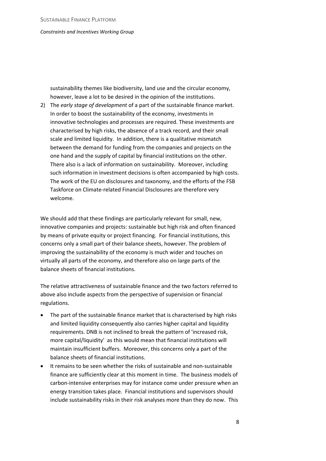sustainability themes like biodiversity, land use and the circular economy, however, leave a lot to be desired in the opinion of the institutions.

2) The *early stage of development* of a part of the sustainable finance market. In order to boost the sustainability of the economy, investments in innovative technologies and processes are required. These investments are characterised by high risks, the absence of a track record, and their small scale and limited liquidity. In addition, there is a qualitative mismatch between the demand for funding from the companies and projects on the one hand and the supply of capital by financial institutions on the other. There also is a lack of information on sustainability. Moreover, including such information in investment decisions is often accompanied by high costs. The work of the EU on disclosures and taxonomy, and the efforts of the FSB Taskforce on Climate‐related Financial Disclosures are therefore very welcome.

We should add that these findings are particularly relevant for small, new, innovative companies and projects: sustainable but high risk and often financed by means of private equity or project financing. For financial institutions, this concerns only a small part of their balance sheets, however. The problem of improving the sustainability of the economy is much wider and touches on virtually all parts of the economy, and therefore also on large parts of the balance sheets of financial institutions.

The relative attractiveness of sustainable finance and the two factors referred to above also include aspects from the perspective of supervision or financial regulations.

- The part of the sustainable finance market that is characterised by high risks and limited liquidity consequently also carries higher capital and liquidity requirements. DNB is not inclined to break the pattern of 'increased risk, more capital/liquidity' as this would mean that financial institutions will maintain insufficient buffers. Moreover, this concerns only a part of the balance sheets of financial institutions.
- It remains to be seen whether the risks of sustainable and non-sustainable finance are sufficiently clear at this moment in time. The business models of carbon‐intensive enterprises may for instance come under pressure when an energy transition takes place. Financial institutions and supervisors should include sustainability risks in their risk analyses more than they do now. This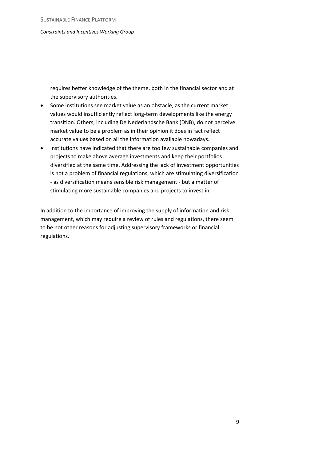requires better knowledge of the theme, both in the financial sector and at the supervisory authorities.

- Some institutions see market value as an obstacle, as the current market values would insufficiently reflect long-term developments like the energy transition. Others, including De Nederlandsche Bank (DNB), do not perceive market value to be a problem as in their opinion it does in fact reflect accurate values based on all the information available nowadays.
- Institutions have indicated that there are too few sustainable companies and projects to make above average investments and keep their portfolios diversified at the same time. Addressing the lack of investment opportunities is not a problem of financial regulations, which are stimulating diversification ‐ as diversification means sensible risk management ‐ but a matter of stimulating more sustainable companies and projects to invest in.

In addition to the importance of improving the supply of information and risk management, which may require a review of rules and regulations, there seem to be not other reasons for adjusting supervisory frameworks or financial regulations.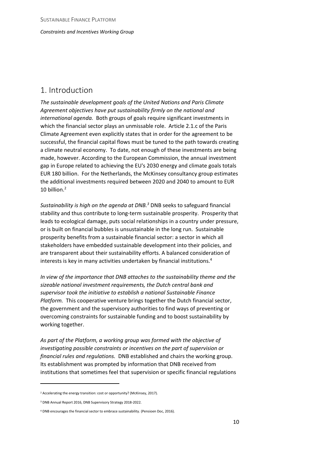# 1. Introduction

*The sustainable development goals of the United Nations and Paris Climate Agreement objectives have put sustainability firmly on the national and international agenda.* Both groups of goals require significant investments in which the financial sector plays an unmissable role. Article 2.1.c of the Paris Climate Agreement even explicitly states that in order for the agreement to be successful, the financial capital flows must be tuned to the path towards creating a climate neutral economy. To date, not enough of these investments are being made, however. According to the European Commission, the annual investment gap in Europe related to achieving the EU's 2030 energy and climate goals totals EUR 180 billion. For the Netherlands, the McKinsey consultancy group estimates the additional investments required between 2020 and 2040 to amount to EUR  $10$  billion. $<sup>2</sup>$ </sup>

Sustainability is high on the agenda at DNB.<sup>3</sup> DNB seeks to safeguard financial stability and thus contribute to long-term sustainable prosperity. Prosperity that leads to ecological damage, puts social relationships in a country under pressure, or is built on financial bubbles is unsustainable in the long run. Sustainable prosperity benefits from a sustainable financial sector: a sector in which all stakeholders have embedded sustainable development into their policies, and are transparent about their sustainability efforts. A balanced consideration of interests is key in many activities undertaken by financial institutions.<sup>4</sup>

*In view of the importance that DNB attaches to the sustainability theme and the sizeable national investment requirements, the Dutch central bank and supervisor took the initiative to establish a national Sustainable Finance Platform.* This cooperative venture brings together the Dutch financial sector, the government and the supervisory authorities to find ways of preventing or overcoming constraints for sustainable funding and to boost sustainability by working together.

*As part of the Platform, a working group was formed with the objective of investigating possible constraints or incentives on the part of supervision or financial rules and regulations.* DNB established and chairs the working group. Its establishment was prompted by information that DNB received from institutions that sometimes feel that supervision or specific financial regulations

<sup>&</sup>lt;sup>2</sup> Accelerating the energy transition: cost or opportunity? (McKinsey, 2017).

<sup>3</sup> DNB Annual Report 2016, DNB Supervisory Strategy 2018‐2022.

<sup>4</sup> DNB encourages the financial sector to embrace sustainability. (Pensioen Doc, 2016).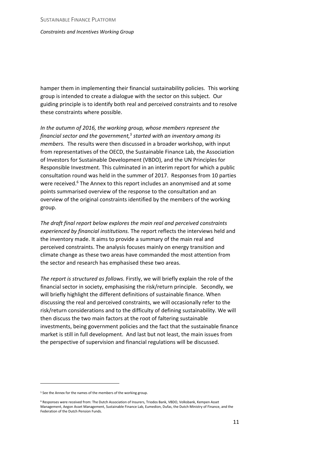hamper them in implementing their financial sustainability policies. This working group is intended to create a dialogue with the sector on this subject. Our guiding principle is to identify both real and perceived constraints and to resolve these constraints where possible.

*In the autumn of 2016, the working group, whose members represent the financial sector and the government,5 started with an inventory among its members.* The results were then discussed in a broader workshop, with input from representatives of the OECD, the Sustainable Finance Lab, the Association of Investors for Sustainable Development (VBDO), and the UN Principles for Responsible Investment. This culminated in an interim report for which a public consultation round was held in the summer of 2017. Responses from 10 parties were received.<sup>6</sup> The Annex to this report includes an anonymised and at some points summarised overview of the response to the consultation and an overview of the original constraints identified by the members of the working group.

*The draft final report below explores the main real and perceived constraints experienced by financial institutions.* The report reflects the interviews held and the inventory made. It aims to provide a summary of the main real and perceived constraints. The analysis focuses mainly on energy transition and climate change as these two areas have commanded the most attention from the sector and research has emphasised these two areas.

*The report is structured as follows.* Firstly, we will briefly explain the role of the financial sector in society, emphasising the risk/return principle. Secondly, we will briefly highlight the different definitions of sustainable finance. When discussing the real and perceived constraints, we will occasionally refer to the risk/return considerations and to the difficulty of defining sustainability. We will then discuss the two main factors at the root of faltering sustainable investments, being government policies and the fact that the sustainable finance market is still in full development. And last but not least, the main issues from the perspective of supervision and financial regulations will be discussed.

<sup>&</sup>lt;sup>5</sup> See the Annex for the names of the members of the working group.

<sup>6</sup> Responses were received from: The Dutch Association of Insurers, Triodos Bank, VBDO, Volksbank, Kempen Asset Management, Aegon Asset Management, Sustainable Finance Lab, Eumedion, Dufas, the Dutch Ministry of Finance, and the Federation of the Dutch Pension Funds.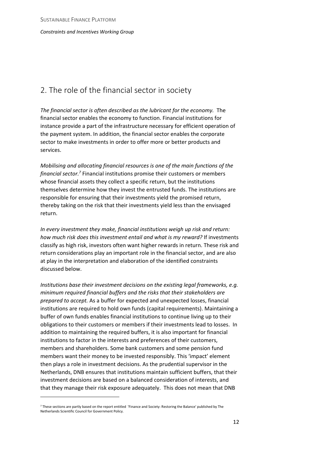# 2. The role of the financial sector in society

*The financial sector is often described as the lubricant for the economy.* The financial sector enables the economy to function. Financial institutions for instance provide a part of the infrastructure necessary for efficient operation of the payment system. In addition, the financial sector enables the corporate sector to make investments in order to offer more or better products and services.

*Mobilising and allocating financial resources is one of the main functions of the*  financial sector.<sup>7</sup> Financial institutions promise their customers or members whose financial assets they collect a specific return, but the institutions themselves determine how they invest the entrusted funds. The institutions are responsible for ensuring that their investments yield the promised return, thereby taking on the risk that their investments yield less than the envisaged return.

*In every investment they make, financial institutions weigh up risk and return: how much risk does this investment entail and what is my reward?* If investments classify as high risk, investors often want higher rewards in return. These risk and return considerations play an important role in the financial sector, and are also at play in the interpretation and elaboration of the identified constraints discussed below.

*Institutions base their investment decisions on the existing legal frameworks, e.g. minimum required financial buffers and the risks that their stakeholders are prepared to accept.* As a buffer for expected and unexpected losses, financial institutions are required to hold own funds (capital requirements). Maintaining a buffer of own funds enables financial institutions to continue living up to their obligations to their customers or members if their investments lead to losses. In addition to maintaining the required buffers, it is also important for financial institutions to factor in the interests and preferences of their customers, members and shareholders. Some bank customers and some pension fund members want their money to be invested responsibly. This 'impact' element then plays a role in investment decisions. As the prudential supervisor in the Netherlands, DNB ensures that institutions maintain sufficient buffers, that their investment decisions are based on a balanced consideration of interests, and that they manage their risk exposure adequately. This does not mean that DNB

<sup>7</sup> These sections are partly based on the report entitled 'Finance and Society: Restoring the Balance' published by The Netherlands Scientific Council for Government Policy.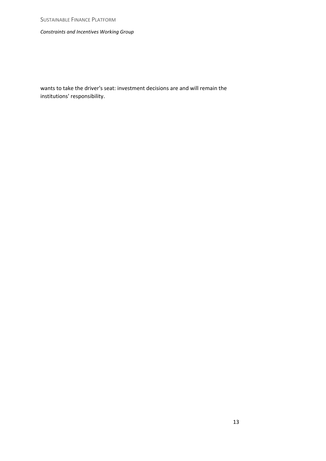## *Constraints and Incentives Working Group*

wants to take the driver's seat: investment decisions are and will remain the institutions' responsibility.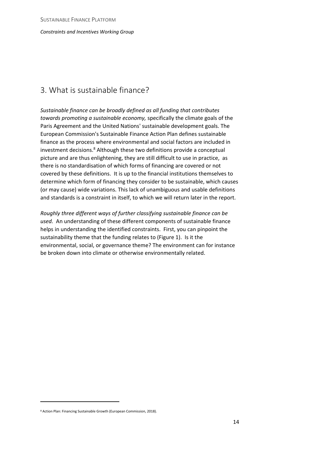# 3. What is sustainable finance?

*Sustainable finance can be broadly defined as all funding that contributes towards promoting a sustainable economy,* specifically the climate goals of the Paris Agreement and the United Nations' sustainable development goals. The European Commission's Sustainable Finance Action Plan defines sustainable finance as the process where environmental and social factors are included in investment decisions.<sup>8</sup> Although these two definitions provide a conceptual picture and are thus enlightening, they are still difficult to use in practice, as there is no standardisation of which forms of financing are covered or not covered by these definitions. It is up to the financial institutions themselves to determine which form of financing they consider to be sustainable, which causes (or may cause) wide variations. This lack of unambiguous and usable definitions and standards is a constraint in itself, to which we will return later in the report.

*Roughly three different ways of further classifying sustainable finance can be used.* An understanding of these different components of sustainable finance helps in understanding the identified constraints. First, you can pinpoint the sustainability theme that the funding relates to (Figure 1). Is it the environmental, social, or governance theme? The environment can for instance be broken down into climate or otherwise environmentally related.

<sup>8</sup> Action Plan: Financing Sustainable Growth (European Commission, 2018).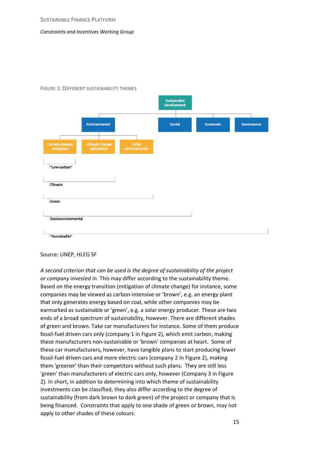|                                                                                                      | <b>Sustainable</b><br>development |                 |            |
|------------------------------------------------------------------------------------------------------|-----------------------------------|-----------------|------------|
| <b>Environmental</b>                                                                                 | <b>Social</b>                     | <b>Economic</b> | Governance |
| <b>Climate change</b><br><b>Climate change</b><br>Other<br>environmental<br>adaptation<br>mitigation |                                   |                 |            |
| "Low-carbon"                                                                                         |                                   |                 |            |
| Climate                                                                                              |                                   |                 |            |
| Green                                                                                                |                                   |                 |            |
| Socioenvironmental                                                                                   |                                   |                 |            |
| "Sustainable"                                                                                        |                                   |                 |            |

### FIGURE 1: DIFFERENT SUSTAINABILITY THEMES

### Source: UNEP, HLEG SF

*A second criterion that can be used is the degree of sustainability of the project or company invested in.* This may differ according to the sustainability theme. Based on the energy transition (mitigation of climate change) for instance, some companies may be viewed as carbon‐intensive or 'brown', e.g. an energy plant that only generates energy based on coal, while other companies may be earmarked as sustainable or 'green', e.g. a solar energy producer. These are two ends of a broad spectrum of sustainability, however. There are different shades of green and brown. Take car manufacturers for instance. Some of them produce fossil‐fuel driven cars only (company 1 in Figure 2), which emit carbon, making these manufacturers non‐sustainable or 'brown' companies at heart. Some of these car manufacturers, however, have tangible plans to start producing fewer fossil‐fuel driven cars and more electric cars (company 2 in Figure 2), making them 'greener' than their competitors without such plans. They are still less 'green' than manufacturers of electric cars only, however (Company 3 in Figure 2). In short, in addition to determining into which theme of sustainability investments can be classified, they also differ according to the degree of sustainability (from dark brown to dark green) of the project or company that is being financed. Constraints that apply to one shade of green or brown, may not apply to other shades of these colours.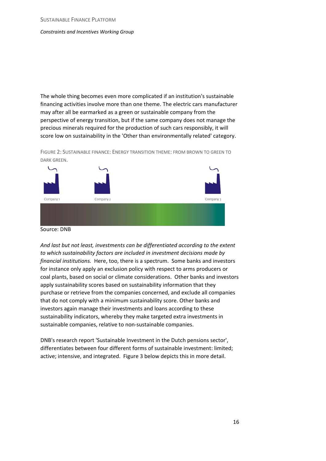The whole thing becomes even more complicated if an institution's sustainable financing activities involve more than one theme. The electric cars manufacturer may after all be earmarked as a green or sustainable company from the perspective of energy transition, but if the same company does not manage the precious minerals required for the production of such cars responsibly, it will score low on sustainability in the 'Other than environmentally related' category.

FIGURE 2: SUSTAINABLE FINANCE: ENERGY TRANSITION THEME: FROM BROWN TO GREEN TO DARK GREEN.



Source: DNB

*And last but not least, investments can be differentiated according to the extent to which sustainability factors are included in investment decisions made by financial institutions.* Here, too, there is a spectrum. Some banks and investors for instance only apply an exclusion policy with respect to arms producers or coal plants, based on social or climate considerations. Other banks and investors apply sustainability scores based on sustainability information that they purchase or retrieve from the companies concerned, and exclude all companies that do not comply with a minimum sustainability score. Other banks and investors again manage their investments and loans according to these sustainability indicators, whereby they make targeted extra investments in sustainable companies, relative to non‐sustainable companies.

DNB's research report 'Sustainable Investment in the Dutch pensions sector', differentiates between four different forms of sustainable investment: limited; active; intensive, and integrated. Figure 3 below depicts this in more detail.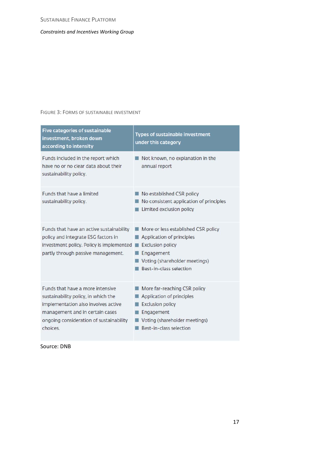### FIGURE 3: FORMS OF SUSTAINABLE INVESTMENT

| <b>Five categories of sustainable</b><br>investment, broken down<br>according to intensity                                                                                                               | <b>Types of sustainable investment</b><br>under this category                                                                                                                     |
|----------------------------------------------------------------------------------------------------------------------------------------------------------------------------------------------------------|-----------------------------------------------------------------------------------------------------------------------------------------------------------------------------------|
| Funds included in the report which<br>have no or no clear data about their<br>sustainability policy.                                                                                                     | Not known, no explanation in the<br>annual report                                                                                                                                 |
| Funds that have a limited<br>sustainability policy.                                                                                                                                                      | No established CSR policy<br>No consistent application of principles<br>Limited exclusion policy                                                                                  |
| Funds that have an active sustainability<br>policy and integrate ESG factors in<br>investment policy. Policy is implemented<br>partly through passive management.                                        | More or less established CSR policy<br>Application of principles<br><b>Exclusion policy</b><br>Engagement<br>w<br>Voting (shareholder meetings)<br><b>Best-in-class selection</b> |
| Funds that have a more intensive<br>sustainability policy, in which the<br>implementation also involves active<br>management and in certain cases<br>ongoing consideration of sustainability<br>choices. | More far-reaching CSR policy<br>Application of principles<br>u.<br><b>Exclusion policy</b><br>Engagement<br>n e<br>Voting (shareholder meetings)<br>Best-in-class selection       |

Source: DNB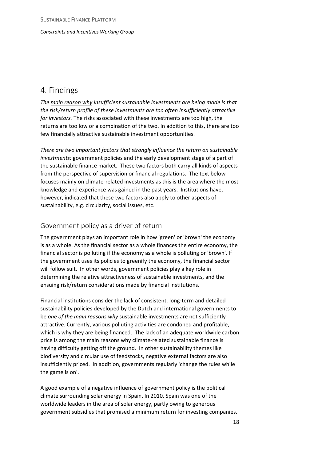# 4. Findings

*The main reason why insufficient sustainable investments are being made is that the risk/return profile of these investments are too often insufficiently attractive for investors.* The risks associated with these investments are too high, the returns are too low or a combination of the two. In addition to this, there are too few financially attractive sustainable investment opportunities.

*There are two important factors that strongly influence the return on sustainable investments:* government policies and the early development stage of a part of the sustainable finance market. These two factors both carry all kinds of aspects from the perspective of supervision or financial regulations. The text below focuses mainly on climate‐related investments as this is the area where the most knowledge and experience was gained in the past years. Institutions have, however, indicated that these two factors also apply to other aspects of sustainability, e.g. circularity, social issues, etc.

# Government policy as a driver of return

The government plays an important role in how 'green' or 'brown' the economy is as a whole. As the financial sector as a whole finances the entire economy, the financial sector is polluting if the economy as a whole is polluting or 'brown'. If the government uses its policies to greenify the economy, the financial sector will follow suit. In other words, government policies play a key role in determining the relative attractiveness of sustainable investments, and the ensuing risk/return considerations made by financial institutions.

Financial institutions consider the lack of consistent, long‐term and detailed sustainability policies developed by the Dutch and international governments to be *one of the main reasons why* sustainable investments are not sufficiently attractive. Currently, various polluting activities are condoned and profitable, which is why they are being financed. The lack of an adequate worldwide carbon price is among the main reasons why climate‐related sustainable finance is having difficulty getting off the ground. In other sustainability themes like biodiversity and circular use of feedstocks, negative external factors are also insufficiently priced. In addition, governments regularly 'change the rules while the game is on'.

A good example of a negative influence of government policy is the political climate surrounding solar energy in Spain. In 2010, Spain was one of the worldwide leaders in the area of solar energy, partly owing to generous government subsidies that promised a minimum return for investing companies.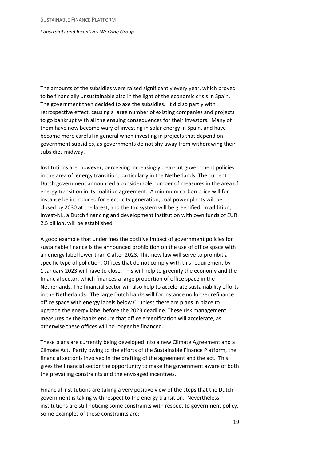The amounts of the subsidies were raised significantly every year, which proved to be financially unsustainable also in the light of the economic crisis in Spain. The government then decided to axe the subsidies. It did so partly with retrospective effect, causing a large number of existing companies and projects to go bankrupt with all the ensuing consequences for their investors. Many of them have now become wary of investing in solar energy in Spain, and have become more careful in general when investing in projects that depend on government subsidies, as governments do not shy away from withdrawing their subsidies midway.

Institutions are, however, perceiving increasingly clear‐cut government policies in the area of energy transition, particularly in the Netherlands. The current Dutch government announced a considerable number of measures in the area of energy transition in its coalition agreement. A minimum carbon price will for instance be introduced for electricity generation, coal power plants will be closed by 2030 at the latest, and the tax system will be greenified. In addition, Invest‐NL, a Dutch financing and development institution with own funds of EUR 2.5 billion, will be established.

A good example that underlines the positive impact of government policies for sustainable finance is the announced prohibition on the use of office space with an energy label lower than C after 2023. This new law will serve to prohibit a specific type of pollution. Offices that do not comply with this requirement by 1 January 2023 will have to close. This will help to greenify the economy and the financial sector, which finances a large proportion of office space in the Netherlands. The financial sector will also help to accelerate sustainability efforts in the Netherlands. The large Dutch banks will for instance no longer refinance office space with energy labels below C, unless there are plans in place to upgrade the energy label before the 2023 deadline. These risk management measures by the banks ensure that office greenification will accelerate, as otherwise these offices will no longer be financed.

These plans are currently being developed into a new Climate Agreement and a Climate Act. Partly owing to the efforts of the Sustainable Finance Platform, the financial sector is involved in the drafting of the agreement and the act. This gives the financial sector the opportunity to make the government aware of both the prevailing constraints and the envisaged incentives.

Financial institutions are taking a very positive view of the steps that the Dutch government is taking with respect to the energy transition. Nevertheless, institutions are still noticing some constraints with respect to government policy. Some examples of these constraints are: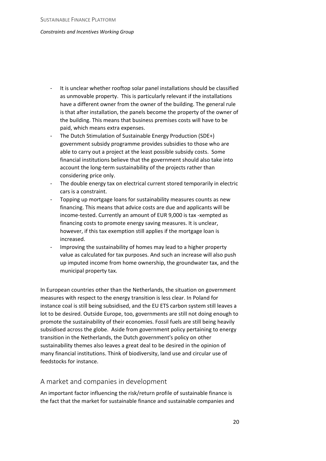- ‐ It is unclear whether rooftop solar panel installations should be classified as unmovable property. This is particularly relevant if the installations have a different owner from the owner of the building. The general rule is that after installation, the panels become the property of the owner of the building. This means that business premises costs will have to be paid, which means extra expenses.
- ‐ The Dutch Stimulation of Sustainable Energy Production (SDE+) government subsidy programme provides subsidies to those who are able to carry out a project at the least possible subsidy costs. Some financial institutions believe that the government should also take into account the long-term sustainability of the projects rather than considering price only.
- The double energy tax on electrical current stored temporarily in electric cars is a constraint.
- ‐ Topping up mortgage loans for sustainability measures counts as new financing. This means that advice costs are due and applicants will be income‐tested. Currently an amount of EUR 9,000 is tax ‐xempted as financing costs to promote energy saving measures. It is unclear, however, if this tax exemption still applies if the mortgage loan is increased.
- ‐ Improving the sustainability of homes may lead to a higher property value as calculated for tax purposes. And such an increase will also push up imputed income from home ownership, the groundwater tax, and the municipal property tax.

In European countries other than the Netherlands, the situation on government measures with respect to the energy transition is less clear. In Poland for instance coal is still being subsidised, and the EU ETS carbon system still leaves a lot to be desired. Outside Europe, too, governments are still not doing enough to promote the sustainability of their economies. Fossil fuels are still being heavily subsidised across the globe. Aside from government policy pertaining to energy transition in the Netherlands, the Dutch government's policy on other sustainability themes also leaves a great deal to be desired in the opinion of many financial institutions. Think of biodiversity, land use and circular use of feedstocks for instance.

# A market and companies in development

An important factor influencing the risk/return profile of sustainable finance is the fact that the market for sustainable finance and sustainable companies and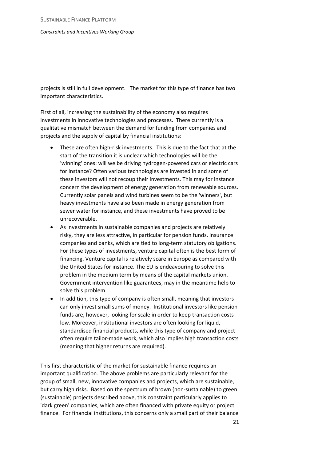projects is still in full development. The market for this type of finance has two important characteristics.

First of all, increasing the sustainability of the economy also requires investments in innovative technologies and processes. There currently is a qualitative mismatch between the demand for funding from companies and projects and the supply of capital by financial institutions:

- These are often high-risk investments. This is due to the fact that at the start of the transition it is unclear which technologies will be the 'winning' ones: will we be driving hydrogen‐powered cars or electric cars for instance? Often various technologies are invested in and some of these investors will not recoup their investments. This may for instance concern the development of energy generation from renewable sources. Currently solar panels and wind turbines seem to be the 'winners', but heavy investments have also been made in energy generation from sewer water for instance, and these investments have proved to be unrecoverable.
- As investments in sustainable companies and projects are relatively risky, they are less attractive, in particular for pension funds, insurance companies and banks, which are tied to long‐term statutory obligations. For these types of investments, venture capital often is the best form of financing. Venture capital is relatively scare in Europe as compared with the United States for instance. The EU is endeavouring to solve this problem in the medium term by means of the capital markets union. Government intervention like guarantees, may in the meantime help to solve this problem.
- In addition, this type of company is often small, meaning that investors can only invest small sums of money. Institutional investors like pension funds are, however, looking for scale in order to keep transaction costs low. Moreover, institutional investors are often looking for liquid, standardised financial products, while this type of company and project often require tailor‐made work, which also implies high transaction costs (meaning that higher returns are required).

This first characteristic of the market for sustainable finance requires an important qualification. The above problems are particularly relevant for the group of small, new, innovative companies and projects, which are sustainable, but carry high risks. Based on the spectrum of brown (non‐sustainable) to green (sustainable) projects described above, this constraint particularly applies to 'dark green' companies, which are often financed with private equity or project finance. For financial institutions, this concerns only a small part of their balance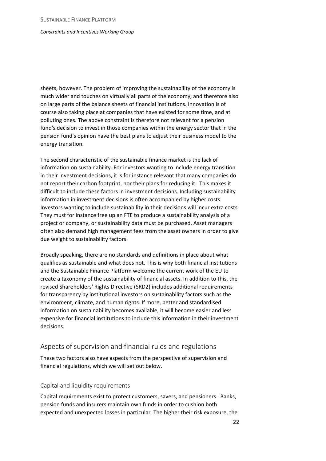sheets, however. The problem of improving the sustainability of the economy is much wider and touches on virtually all parts of the economy, and therefore also on large parts of the balance sheets of financial institutions. Innovation is of course also taking place at companies that have existed for some time, and at polluting ones. The above constraint is therefore not relevant for a pension fund's decision to invest in those companies within the energy sector that in the pension fund's opinion have the best plans to adjust their business model to the energy transition.

The second characteristic of the sustainable finance market is the lack of information on sustainability. For investors wanting to include energy transition in their investment decisions, it is for instance relevant that many companies do not report their carbon footprint, nor their plans for reducing it. This makes it difficult to include these factors in investment decisions. Including sustainability information in investment decisions is often accompanied by higher costs. Investors wanting to include sustainability in their decisions will incur extra costs. They must for instance free up an FTE to produce a sustainability analysis of a project or company, or sustainability data must be purchased. Asset managers often also demand high management fees from the asset owners in order to give due weight to sustainability factors.

Broadly speaking, there are no standards and definitions in place about what qualifies as sustainable and what does not. This is why both financial institutions and the Sustainable Finance Platform welcome the current work of the EU to create a taxonomy of the sustainability of financial assets. In addition to this, the revised Shareholders' Rights Directive (SRD2) includes additional requirements for transparency by institutional investors on sustainability factors such as the environment, climate, and human rights. If more, better and standardised information on sustainability becomes available, it will become easier and less expensive for financial institutions to include this information in their investment decisions.

# Aspects of supervision and financial rules and regulations

These two factors also have aspects from the perspective of supervision and financial regulations, which we will set out below.

## Capital and liquidity requirements

Capital requirements exist to protect customers, savers, and pensioners. Banks, pension funds and insurers maintain own funds in order to cushion both expected and unexpected losses in particular. The higher their risk exposure, the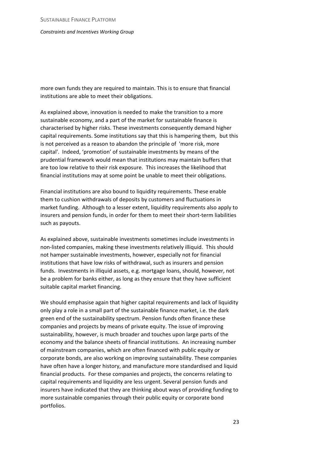more own funds they are required to maintain. This is to ensure that financial institutions are able to meet their obligations.

As explained above, innovation is needed to make the transition to a more sustainable economy, and a part of the market for sustainable finance is characterised by higher risks. These investments consequently demand higher capital requirements. Some institutions say that this is hampering them, but this is not perceived as a reason to abandon the principle of 'more risk, more capital'. Indeed, 'promotion' of sustainable investments by means of the prudential framework would mean that institutions may maintain buffers that are too low relative to their risk exposure. This increases the likelihood that financial institutions may at some point be unable to meet their obligations.

Financial institutions are also bound to liquidity requirements. These enable them to cushion withdrawals of deposits by customers and fluctuations in market funding. Although to a lesser extent, liquidity requirements also apply to insurers and pension funds, in order for them to meet their short-term liabilities such as payouts.

As explained above, sustainable investments sometimes include investments in non‐listed companies, making these investments relatively illiquid. This should not hamper sustainable investments, however, especially not for financial institutions that have low risks of withdrawal, such as insurers and pension funds. Investments in illiquid assets, e.g. mortgage loans, should, however, not be a problem for banks either, as long as they ensure that they have sufficient suitable capital market financing.

We should emphasise again that higher capital requirements and lack of liquidity only play a role in a small part of the sustainable finance market, i.e. the dark green end of the sustainability spectrum. Pension funds often finance these companies and projects by means of private equity. The issue of improving sustainability, however, is much broader and touches upon large parts of the economy and the balance sheets of financial institutions. An increasing number of mainstream companies, which are often financed with public equity or corporate bonds, are also working on improving sustainability. These companies have often have a longer history, and manufacture more standardised and liquid financial products. For these companies and projects, the concerns relating to capital requirements and liquidity are less urgent. Several pension funds and insurers have indicated that they are thinking about ways of providing funding to more sustainable companies through their public equity or corporate bond portfolios.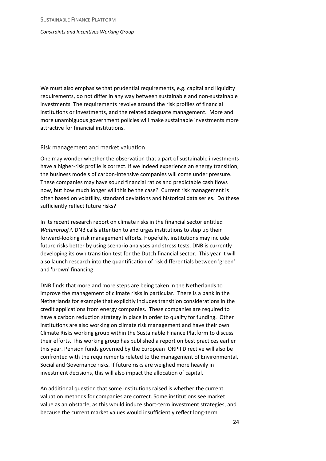We must also emphasise that prudential requirements, e.g. capital and liquidity requirements, do not differ in any way between sustainable and non‐sustainable investments. The requirements revolve around the risk profiles of financial institutions or investments, and the related adequate management. More and more unambiguous government policies will make sustainable investments more attractive for financial institutions.

### Risk management and market valuation

One may wonder whether the observation that a part of sustainable investments have a higher-risk profile is correct. If we indeed experience an energy transition, the business models of carbon‐intensive companies will come under pressure. These companies may have sound financial ratios and predictable cash flows now, but how much longer will this be the case? Current risk management is often based on volatility, standard deviations and historical data series. Do these sufficiently reflect future risks?

In its recent research report on climate risks in the financial sector entitled *Waterproof?*, DNB calls attention to and urges institutions to step up their forward‐looking risk management efforts. Hopefully, institutions may include future risks better by using scenario analyses and stress tests. DNB is currently developing its own transition test for the Dutch financial sector. This year it will also launch research into the quantification of risk differentials between 'green' and 'brown' financing.

DNB finds that more and more steps are being taken in the Netherlands to improve the management of climate risks in particular. There is a bank in the Netherlands for example that explicitly includes transition considerations in the credit applications from energy companies. These companies are required to have a carbon reduction strategy in place in order to qualify for funding. Other institutions are also working on climate risk management and have their own Climate Risks working group within the Sustainable Finance Platform to discuss their efforts. This working group has published a report on best practices earlier this year. Pension funds governed by the European IORPII Directive will also be confronted with the requirements related to the management of Environmental, Social and Governance risks. If future risks are weighed more heavily in investment decisions, this will also impact the allocation of capital.

An additional question that some institutions raised is whether the current valuation methods for companies are correct. Some institutions see market value as an obstacle, as this would induce short‐term investment strategies, and because the current market values would insufficiently reflect long‐term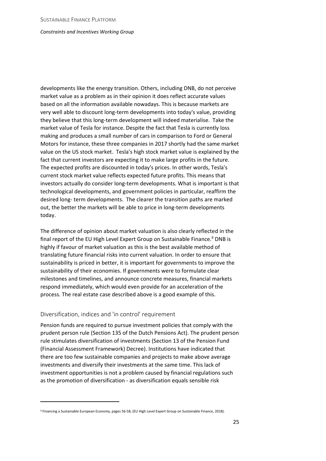developments like the energy transition. Others, including DNB, do not perceive market value as a problem as in their opinion it does reflect accurate values based on all the information available nowadays. This is because markets are very well able to discount long‐term developments into today's value, providing they believe that this long‐term development will indeed materialise. Take the market value of Tesla for instance. Despite the fact that Tesla is currently loss making and produces a small number of cars in comparison to Ford or General Motors for instance, these three companies in 2017 shortly had the same market value on the US stock market. Tesla's high stock market value is explained by the fact that current investors are expecting it to make large profits in the future. The expected profits are discounted in today's prices. In other words, Tesla's current stock market value reflects expected future profits. This means that investors actually do consider long‐term developments. What is important is that technological developments, and government policies in particular, reaffirm the desired long‐ term developments. The clearer the transition paths are marked out, the better the markets will be able to price in long-term developments today.

The difference of opinion about market valuation is also clearly reflected in the final report of the EU High Level Expert Group on Sustainable Finance.<sup>9</sup> DNB is highly if favour of market valuation as this is the best available method of translating future financial risks into current valuation. In order to ensure that sustainability is priced in better, it is important for governments to improve the sustainability of their economies. If governments were to formulate clear milestones and timelines, and announce concrete measures, financial markets respond immediately, which would even provide for an acceleration of the process. The real estate case described above is a good example of this.

## Diversification, indices and 'in control' requirement

Pension funds are required to pursue investment policies that comply with the prudent person rule (Section 135 of the Dutch Pensions Act). The prudent person rule stimulates diversification of investments (Section 13 of the Pension Fund (Financial Assessment Framework) Decree). Institutions have indicated that there are too few sustainable companies and projects to make above average investments and diversify their investments at the same time. This lack of investment opportunities is not a problem caused by financial regulations such as the promotion of diversification ‐ as diversification equals sensible risk

<sup>9</sup> Financing a Sustainable European Economy, pages 56‐58, (EU High Level Expert Group on Sustainable Finance, 2018).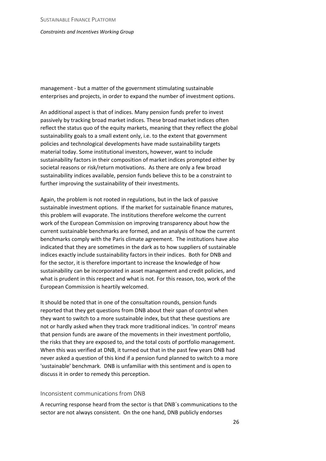management ‐ but a matter of the government stimulating sustainable enterprises and projects, in order to expand the number of investment options.

An additional aspect is that of indices. Many pension funds prefer to invest passively by tracking broad market indices. These broad market indices often reflect the status quo of the equity markets, meaning that they reflect the global sustainability goals to a small extent only, i.e. to the extent that government policies and technological developments have made sustainability targets material today. Some institutional investors, however, want to include sustainability factors in their composition of market indices prompted either by societal reasons or risk/return motivations. As there are only a few broad sustainability indices available, pension funds believe this to be a constraint to further improving the sustainability of their investments.

Again, the problem is not rooted in regulations, but in the lack of passive sustainable investment options. If the market for sustainable finance matures, this problem will evaporate. The institutions therefore welcome the current work of the European Commission on improving transparency about how the current sustainable benchmarks are formed, and an analysis of how the current benchmarks comply with the Paris climate agreement. The institutions have also indicated that they are sometimes in the dark as to how suppliers of sustainable indices exactly include sustainability factors in their indices. Both for DNB and for the sector, it is therefore important to increase the knowledge of how sustainability can be incorporated in asset management and credit policies, and what is prudent in this respect and what is not. For this reason, too, work of the European Commission is heartily welcomed.

It should be noted that in one of the consultation rounds, pension funds reported that they get questions from DNB about their span of control when they want to switch to a more sustainable index, but that these questions are not or hardly asked when they track more traditional indices. 'In control' means that pension funds are aware of the movements in their investment portfolio, the risks that they are exposed to, and the total costs of portfolio management. When this was verified at DNB, it turned out that in the past few years DNB had never asked a question of this kind if a pension fund planned to switch to a more 'sustainable' benchmark. DNB is unfamiliar with this sentiment and is open to discuss it in order to remedy this perception.

### Inconsistent communications from DNB

A recurring response heard from the sector is that DNB´s communications to the sector are not always consistent. On the one hand, DNB publicly endorses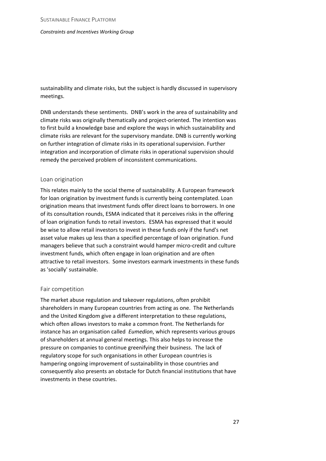sustainability and climate risks, but the subject is hardly discussed in supervisory meetings.

DNB understands these sentiments. DNB's work in the area of sustainability and climate risks was originally thematically and project‐oriented. The intention was to first build a knowledge base and explore the ways in which sustainability and climate risks are relevant for the supervisory mandate. DNB is currently working on further integration of climate risks in its operational supervision. Further integration and incorporation of climate risks in operational supervision should remedy the perceived problem of inconsistent communications.

### Loan origination

This relates mainly to the social theme of sustainability. A European framework for loan origination by investment funds is currently being contemplated. Loan origination means that investment funds offer direct loans to borrowers. In one of its consultation rounds, ESMA indicated that it perceives risks in the offering of loan origination funds to retail investors. ESMA has expressed that it would be wise to allow retail investors to invest in these funds only if the fund's net asset value makes up less than a specified percentage of loan origination. Fund managers believe that such a constraint would hamper micro‐credit and culture investment funds, which often engage in loan origination and are often attractive to retail investors. Some investors earmark investments in these funds as 'socially' sustainable.

### Fair competition

The market abuse regulation and takeover regulations, often prohibit shareholders in many European countries from acting as one. The Netherlands and the United Kingdom give a different interpretation to these regulations, which often allows investors to make a common front. The Netherlands for instance has an organisation called *Eumedion*, which represents various groups of shareholders at annual general meetings. This also helps to increase the pressure on companies to continue greenifying their business. The lack of regulatory scope for such organisations in other European countries is hampering ongoing improvement of sustainability in those countries and consequently also presents an obstacle for Dutch financial institutions that have investments in these countries.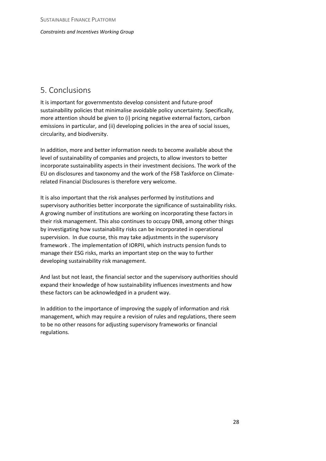# 5. Conclusions

It is important for governmentsto develop consistent and future‐proof sustainability policies that minimalise avoidable policy uncertainty. Specifically, more attention should be given to (i) pricing negative external factors, carbon emissions in particular, and (ii) developing policies in the area of social issues, circularity, and biodiversity.

In addition, more and better information needs to become available about the level of sustainability of companies and projects, to allow investors to better incorporate sustainability aspects in their investment decisions. The work of the EU on disclosures and taxonomy and the work of the FSB Taskforce on Climate‐ related Financial Disclosures is therefore very welcome.

It is also important that the risk analyses performed by institutions and supervisory authorities better incorporate the significance of sustainability risks. A growing number of institutions are working on incorporating these factors in their risk management. This also continues to occupy DNB, among other things by investigating how sustainability risks can be incorporated in operational supervision. In due course, this may take adjustments in the supervisory framework . The implementation of IORPII, which instructs pension funds to manage their ESG risks, marks an important step on the way to further developing sustainability risk management.

And last but not least, the financial sector and the supervisory authorities should expand their knowledge of how sustainability influences investments and how these factors can be acknowledged in a prudent way.

In addition to the importance of improving the supply of information and risk management, which may require a revision of rules and regulations, there seem to be no other reasons for adjusting supervisory frameworks or financial regulations.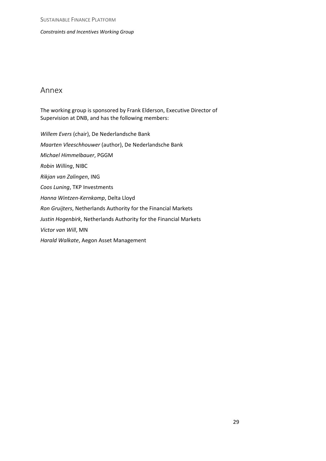*Constraints and Incentives Working Group* 

# Annex

The working group is sponsored by Frank Elderson, Executive Director of Supervision at DNB, and has the following members:

*Willem Evers* (chair), De Nederlandsche Bank *Maarten Vleeschhouwer* (author), De Nederlandsche Bank *Michael Himmelbauer*, PGGM *Robin Willing*, NIBC *Rikjan van Zalingen*, ING *Coos Luning*, TKP Investments *Hanna Wintzen‐Kernkamp*, Delta Lloyd *Ron Gruijters*, Netherlands Authority for the Financial Markets *Justin Hogenbirk*, Netherlands Authority for the Financial Markets *Victor van Will*, MN *Harald Walkate*, Aegon Asset Management